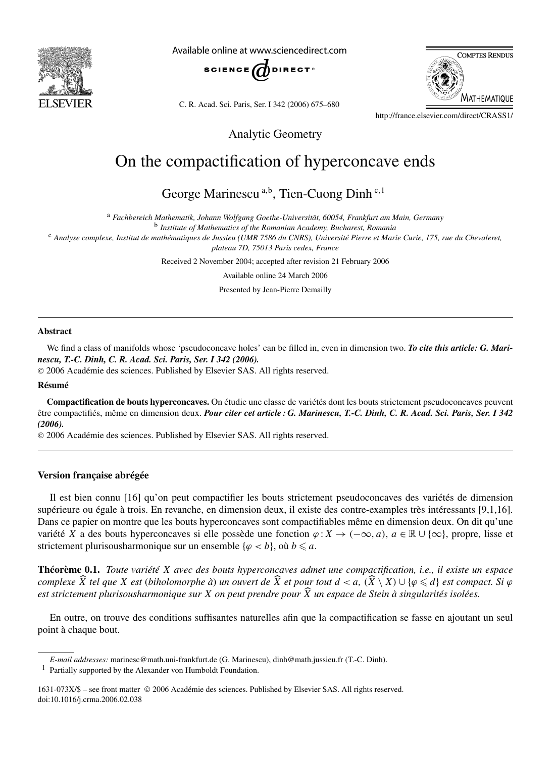

Available online at www.sciencedirect.com



C. R. Acad. Sci. Paris, Ser. I 342 (2006) 675–680



http://france.elsevier.com/direct/CRASS1/

Analytic Geometry

# On the compactification of hyperconcave ends

George Marinescu<sup>a,b</sup>, Tien-Cuong Dinh<sup>c,1</sup>

<sup>a</sup> *Fachbereich Mathematik, Johann Wolfgang Goethe-Universität, 60054, Frankfurt am Main, Germany*

<sup>b</sup> *Institute of Mathematics of the Romanian Academy, Bucharest, Romania*

<sup>c</sup> *Analyse complexe, Institut de mathématiques de Jussieu (UMR 7586 du CNRS), Université Pierre et Marie Curie, 175, rue du Chevaleret, plateau 7D, 75013 Paris cedex, France*

Received 2 November 2004; accepted after revision 21 February 2006

Available online 24 March 2006

Presented by Jean-Pierre Demailly

## **Abstract**

We find a class of manifolds whose 'pseudoconcave holes' can be filled in, even in dimension two. *To cite this article: G. Marinescu, T.-C. Dinh, C. R. Acad. Sci. Paris, Ser. I 342 (2006).*

2006 Académie des sciences. Published by Elsevier SAS. All rights reserved.

#### **Résumé**

**Compactification de bouts hyperconcaves.** On étudie une classe de variétés dont les bouts strictement pseudoconcaves peuvent être compactifiés, même en dimension deux. *Pour citer cet article : G. Marinescu, T.-C. Dinh, C. R. Acad. Sci. Paris, Ser. I 342 (2006).*

2006 Académie des sciences. Published by Elsevier SAS. All rights reserved.

## **Version française abrégée**

Il est bien connu [16] qu'on peut compactifier les bouts strictement pseudoconcaves des variétés de dimension supérieure ou égale à trois. En revanche, en dimension deux, il existe des contre-examples très intéressants [9,1,16]. Dans ce papier on montre que les bouts hyperconcaves sont compactifiables même en dimension deux. On dit qu'une variété *X* a des bouts hyperconcaves si elle possède une fonction *ϕ* :*X* → *(*−∞*,a)*, *a* ∈ R ∪ {∞}, propre, lisse et strictement plurisousharmonique sur un ensemble  $\{\varphi < b\}$ , où  $b \leq a$ .

**Théorème 0.1.** *Toute variété X avec des bouts hyperconcaves admet une compactification, i.e., il existe un espace* complexe  $\widehat{X}$  tel que X est (biholomorphe à) un ouvert de  $\widehat{X}$  et pour tout  $d < a$ ,  $(\widehat{X} \setminus X) \cup \{\varphi \leq d\}$  est compact. Si  $\varphi$ *est strictement plurisousharmonique sur X on peut prendre pour X un espace de Stein à singularités isolées.*

En outre, on trouve des conditions suffisantes naturelles afin que la compactification se fasse en ajoutant un seul point à chaque bout.

*E-mail addresses:* marinesc@math.uni-frankfurt.de (G. Marinescu), dinh@math.jussieu.fr (T.-C. Dinh).

<sup>1</sup> Partially supported by the Alexander von Humboldt Foundation.

<sup>1631-073</sup>X/\$ – see front matter 2006 Académie des sciences. Published by Elsevier SAS. All rights reserved. doi:10.1016/j.crma.2006.02.038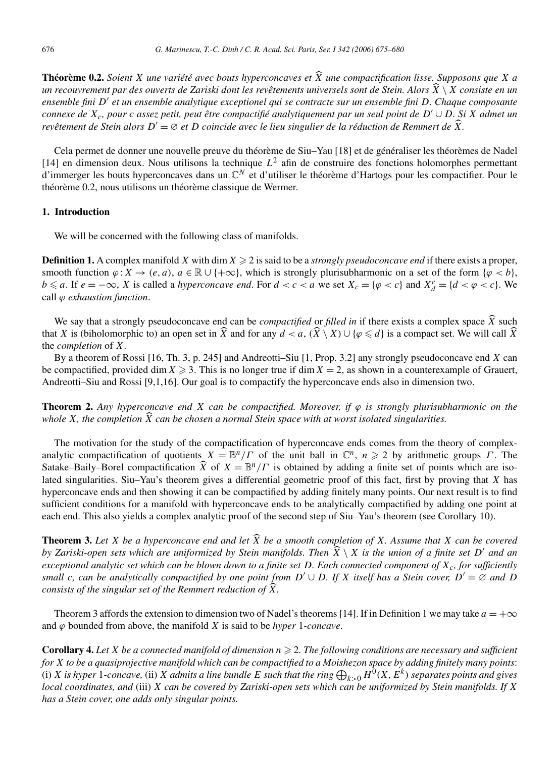**Théorème 0.2.** *Soient X une variété avec bouts hyperconcaves et*  $\widehat{X}$  *une compactification lisse. Supposons que X a un recouvrement par des ouverts de Zariski dont les revêtements universels sont de Stein. Alors X* \ *X consiste en un ensemble fini D et un ensemble analytique exceptionel qui se contracte sur un ensemble fini D. Chaque composante connexe de Xc, pour c assez petit, peut être compactifié analytiquement par un seul point de D* ∪ *D. Si X admet un revêtement de Stein alors*  $D' = \emptyset$  *et*  $D$  *coincide avec le lieu singulier de la réduction de Remmert de*  $\overline{X}$ *.* 

Cela permet de donner une nouvelle preuve du théorème de Siu–Yau [18] et de généraliser les théorèmes de Nadel [14] en dimension deux. Nous utilisons la technique  $L^2$  afin de construire des fonctions holomorphes permettant d'immerger les bouts hyperconcaves dans un C*<sup>N</sup>* et d'utiliser le théorème d'Hartogs pour les compactifier. Pour le théorème 0.2, nous utilisons un théorème classique de Wermer.

## **1. Introduction**

We will be concerned with the following class of manifolds.

**Definition 1.** A complex manifold X with dim  $X \ge 2$  is said to be a *strongly pseudoconcave end* if there exists a proper, smooth function  $\varphi: X \to (e, a), a \in \mathbb{R} \cup \{+\infty\}$ , which is strongly plurisubharmonic on a set of the form  $\{\varphi < b\}$ ,  $b \le a$ . If  $e = -\infty$ , *X* is called a *hyperconcave end*. For  $d < c < a$  we set  $X_c = \{\varphi < c\}$  and  $X_d^c = \{d < \varphi < c\}$ . We call *ϕ exhaustion function*.

We say that a strongly pseudoconcave end can be *compactified* or *filled in* if there exists a complex space  $\widehat{X}$  such that *X* is (biholomorphic to) an open set in  $\hat{X}$  and for any  $d < a$ ,  $(\hat{X} \setminus X) \cup \{\varphi \leq d\}$  is a compact set. We will call  $\hat{X}$ the *completion* of *X*.

By a theorem of Rossi [16, Th. 3, p. 245] and Andreotti–Siu [1, Prop. 3.2] any strongly pseudoconcave end *X* can be compactified, provided dim  $X \ge 3$ . This is no longer true if dim  $X = 2$ , as shown in a counterexample of Grauert, Andreotti–Siu and Rossi [9,1,16]. Our goal is to compactify the hyperconcave ends also in dimension two.

**Theorem 2.** *Any hyperconcave end X can be compactified. Moreover, if*  $\varphi$  *is strongly plurisubharmonic on the whole X, the completion X can be chosen a normal Stein space with at worst isolated singularities.*

The motivation for the study of the compactification of hyperconcave ends comes from the theory of complexanalytic compactification of quotients  $X = \mathbb{B}^n/\Gamma$  of the unit ball in  $\mathbb{C}^n$ ,  $n \ge 2$  by arithmetic groups  $\Gamma$ . The Satake–Baily–Borel compactification  $\hat{X}$  of  $X = \mathbb{B}^n/\Gamma$  is obtained by adding a finite set of points which are isolated singularities. Siu–Yau's theorem gives a differential geometric proof of this fact, first by proving that *X* has hyperconcave ends and then showing it can be compactified by adding finitely many points. Our next result is to find sufficient conditions for a manifold with hyperconcave ends to be analytically compactified by adding one point at each end. This also yields a complex analytic proof of the second step of Siu–Yau's theorem (see Corollary 10).

**Theorem 3.** Let *X* be a hyperconcave end and let  $\widehat{X}$  be a smooth completion of *X*. Assume that *X* can be covered *by Zariski-open sets which are uniformized by Stein manifolds. Then*  $\widehat{X} \setminus X$  *is the union of a finite set*  $D'$  *and an exceptional analytic set which can be blown down to a finite set D. Each connected component of Xc, for sufficiently small c*, can be analytically compactified by one point from  $D' \cup D$ . If X itself has a Stein cover,  $D' = \emptyset$  and  $D$ *consists of the singular set of the Remmert reduction of X.*

Theorem 3 affords the extension to dimension two of Nadel's theorems [14]. If in Definition 1 we may take  $a = +\infty$ and  $\varphi$  bounded from above, the manifold *X* is said to be *hyper* 1*-concave*.

**Corollary 4.** Let *X* be a connected manifold of dimension  $n \geq 2$ . The following conditions are necessary and sufficient *for X to be a quasiprojective manifold which can be compactified to a Moishezon space by adding finitely many points*: (i) *X* is hyper 1-concave, (ii) *X* admits a line bundle *E* such that the ring  $\bigoplus_{k>0} H^0(X, E^k)$  separates points and gives *local coordinates, and* (iii) *X can be covered by Zariski-open sets which can be uniformized by Stein manifolds. If X has a Stein cover, one adds only singular points.*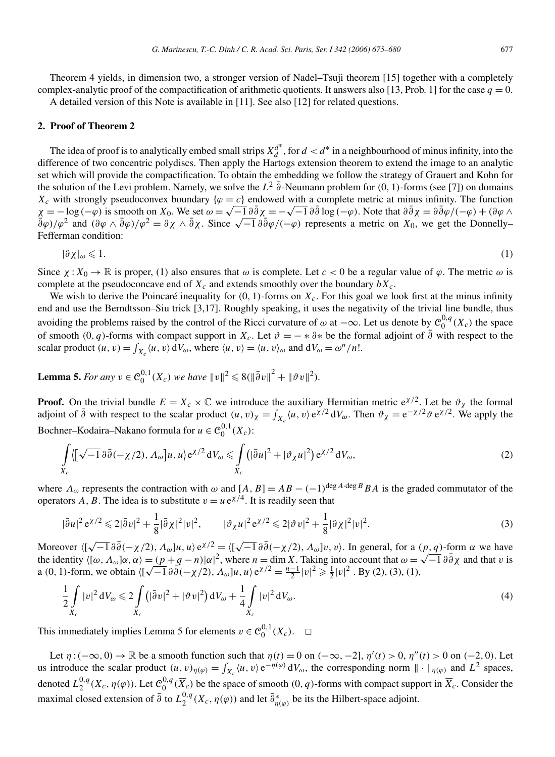Theorem 4 yields, in dimension two, a stronger version of Nadel–Tsuji theorem [15] together with a completely complex-analytic proof of the compactification of arithmetic quotients. It answers also [13, Prob. 1] for the case  $q = 0$ . A detailed version of this Note is available in [11]. See also [12] for related questions.

## **2. Proof of Theorem 2**

The idea of proof is to analytically embed small strips  $X_d^{d^*}$ , for  $d < d^*$  in a neighbourhood of minus infinity, into the difference of two concentric polydiscs. Then apply the Hartogs extension theorem to extend the image to an analytic set which will provide the compactification. To obtain the embedding we follow the strategy of Grauert and Kohn for the solution of the Levi problem. Namely, we solve the  $L^2$   $\bar{\partial}$ -Neumann problem for  $(0, 1)$ -forms (see [7]) on domains  $X_c$  with strongly pseudoconvex boundary  $\{\varphi = c\}$  endowed with a complete metric at minus infinity. The function  $\chi = -\log(-\varphi)$  is smooth on  $X_0$ . We set  $\omega = \sqrt{-1} \partial \overline{\partial} \chi = -\sqrt{-1} \partial \overline{\partial} \log(-\varphi)$ . Note that  $\partial \overline{\partial} \chi = \partial \overline{\partial} \varphi/(-\varphi) + (\partial \varphi \wedge \varphi)$  $\frac{\partial \varphi}{\partial \varphi}$  and  $(\partial \varphi \wedge \partial \varphi)/\varphi^2 = \partial \chi \wedge \partial \chi$ . Since  $\sqrt{-1} \partial \overline{\partial} \varphi/(-\varphi)$  represents a metric on  $X_0$ , we get the Donnelly– Fefferman condition:

$$
|\partial \chi|_{\omega} \leqslant 1. \tag{1}
$$

Since  $\chi: X_0 \to \mathbb{R}$  is proper, (1) also ensures that  $\omega$  is complete. Let  $c < 0$  be a regular value of  $\varphi$ . The metric  $\omega$  is complete at the pseudoconcave end of  $X_c$  and extends smoothly over the boundary  $bX_c$ .

We wish to derive the Poincaré inequality for  $(0, 1)$ -forms on  $X_c$ . For this goal we look first at the minus infinity end and use the Berndtsson–Siu trick [3,17]. Roughly speaking, it uses the negativity of the trivial line bundle, thus avoiding the problems raised by the control of the Ricci curvature of  $\omega$  at  $-\infty$ . Let us denote by  $C_0^{0,q}(X_c)$  the space of smooth  $(0, q)$ -forms with compact support in  $X_c$ . Let  $\vartheta = -\ast \partial \ast$  be the formal adjoint of  $\overline{\partial}$  with respect to the scalar product  $(u, v) = \int_{X_c} \langle u, v \rangle dV_\omega$ , where  $\langle u, v \rangle = \langle u, v \rangle_\omega$  and  $dV_\omega = \omega^n/n!$ .

**Lemma 5.** *For any*  $v \in C_0^{0,1}(X_c)$  *we have*  $||v||^2 \le 8(||\bar{\partial}v||^2 + ||\partial v||^2)$ *.* 

**Proof.** On the trivial bundle  $E = X_c \times \mathbb{C}$  we introduce the auxiliary Hermitian metric  $e^{(\chi/2)}$ . Let be  $\vartheta_{\chi}$  the formal adjoint of  $\bar{\partial}$  with respect to the scalar product  $(u, v)_\chi = \int_{X_c} \langle u, v \rangle e^{\chi/2} dV_\omega$ . Then  $\vartheta_\chi = e^{-\chi/2} \vartheta e^{\chi/2}$ . We apply the Bochner–Kodaira–Nakano formula for  $u \in C_0^{0,1}(X_c)$ :

$$
\int_{X_c} \langle [\sqrt{-1} \partial \overline{\partial} (-\chi/2), \Lambda_\omega] u, u \rangle e^{\chi/2} dV_\omega \leq \int_{X_c} (|\overline{\partial} u|^2 + |\partial_\chi u|^2) e^{\chi/2} dV_\omega,
$$
\n(2)

where  $\Lambda_{\omega}$  represents the contraction with  $\omega$  and  $[A, B] = AB - (-1)^{\deg A \cdot \deg B} BA$  is the graded commutator of the operators *A*, *B*. The idea is to substitute  $v = u e^{\chi/4}$ . It is readily seen that

$$
|\bar{\partial}u|^2 e^{\chi/2} \leq 2|\bar{\partial}v|^2 + \frac{1}{8}|\bar{\partial}\chi|^2 |v|^2, \qquad |\vartheta_{\chi}u|^2 e^{\chi/2} \leq 2|\vartheta v|^2 + \frac{1}{8}|\partial\chi|^2 |v|^2. \tag{3}
$$

Moreover  $\langle [\sqrt{-1} \partial \overline{\partial}(-\chi/2), \Lambda_{\omega}]u, u \rangle e^{\chi/2} = \langle [\sqrt{-1} \partial \overline{\partial}(-\chi/2), \Lambda_{\omega}]v, v \rangle$ . In general, for a  $(p, q)$ -form  $\alpha$  we have Moreover  $(\sqrt{7}-1 \theta \theta(-\sqrt{7}/2), \Delta_{\omega}|\mu, \mu \rangle e^{\lambda/2} = (\sqrt{7}-1 \theta \theta(-\sqrt{7}/2), \Delta_{\omega}|\nu, \nu)$ . In general, for a  $(p, q)$ -form  $\alpha$  we have the identity  $\langle [\omega, \Delta_{\omega}]\alpha, \alpha \rangle = (p+q-n)|\alpha|^2$ , where  $n = \dim X$ . Taking into account that  $\omega = \sqrt{-1} \$ the identity  $\langle [\omega, \Lambda_{\omega}] \alpha, \alpha \rangle = (p+q-n)|\alpha|^2$ , where  $n = \dim X$ . Taking into account that  $\omega = a(0, 1)$ -form, we obtain  $\langle [\sqrt{-1} \partial \overline{\partial}(-\chi/2), \Lambda_{\omega}]u, u \rangle e^{\chi/2} = \frac{n-1}{2} |v|^2 \ge \frac{1}{2} |v|^2$ . By (2), (3), (1),

$$
\frac{1}{2} \int\limits_{X_c} |v|^2 \, \mathrm{d}V_\omega \leqslant 2 \int\limits_{X_c} \left( |\bar{\partial}v|^2 + |\vartheta v|^2 \right) \mathrm{d}V_\omega + \frac{1}{4} \int\limits_{X_c} |v|^2 \, \mathrm{d}V_\omega. \tag{4}
$$

This immediately implies Lemma 5 for elements  $v \in C_0^{0,1}(X_c)$ .  $\Box$ 

Let  $\eta$ :  $(-\infty, 0) \to \mathbb{R}$  be a smooth function such that  $\eta(t) = 0$  on  $(-\infty, -2]$ ,  $\eta'(t) > 0$ ,  $\eta''(t) > 0$  on  $(-2, 0)$ . Let us introduce the scalar product  $(u, v)_{\eta(\varphi)} = \int_{X_c} \langle u, v \rangle e^{-\eta(\varphi)} dV_\omega$ , the corresponding norm  $\|\cdot\|_{\eta(\varphi)}$  and  $L^2$  spaces, denoted  $L_2^{0,q}(X_c, \eta(\varphi))$ . Let  $\mathcal{C}_0^{0,q}(\overline{X}_c)$  be the space of smooth  $(0, q)$ -forms with compact support in  $\overline{X}_c$ . Consider the maximal closed extension of  $\bar{\partial}$  to  $L_2^{0,q}(X_c, \eta(\varphi))$  and let  $\bar{\partial}_{\eta(\varphi)}^*$  be its the Hilbert-space adjoint.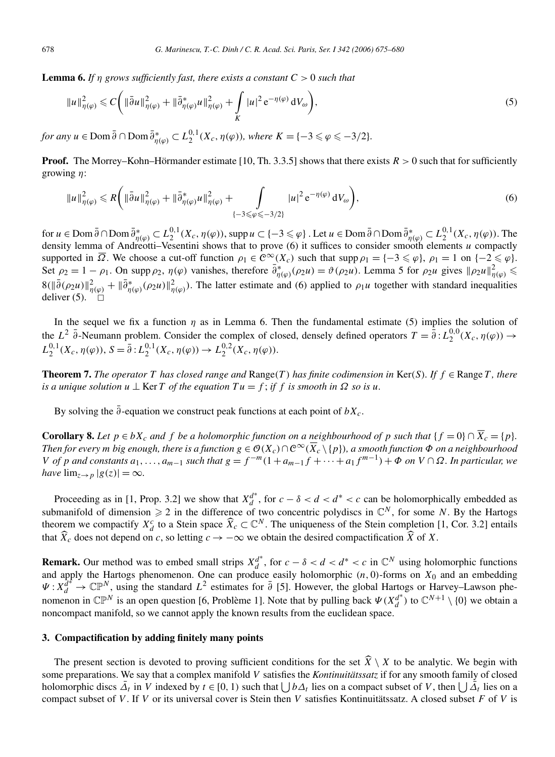**Lemma 6.** If *n* grows sufficiently fast, there exists a constant  $C > 0$  such that

$$
\|u\|_{\eta(\varphi)}^2 \leq C \bigg( \|\bar{\partial}u\|_{\eta(\varphi)}^2 + \|\bar{\partial}_{\eta(\varphi)}^* u\|_{\eta(\varphi)}^2 + \int\limits_K |u|^2 e^{-\eta(\varphi)} dV_\omega \bigg),\tag{5}
$$

*for any*  $u \in \text{Dom } \bar{\partial} \cap \text{Dom } \bar{\partial}_{\eta(\varphi)}^* \subset L_2^{0,1}(X_c, \eta(\varphi))$ *, where*  $K = \{-3 \leq \varphi \leq -3/2\}$ *.* 

**Proof.** The Morrey–Kohn–Hörmander estimate [10, Th. 3.3.5] shows that there exists  $R > 0$  such that for sufficiently growing *η*:

$$
||u||_{\eta(\varphi)}^2 \le R\bigg(||\bar{\partial}u||_{\eta(\varphi)}^2 + ||\bar{\partial}_{\eta(\varphi)}^*u||_{\eta(\varphi)}^2 + \int\limits_{\{-3\le \varphi \le -3/2\}} |u|^2 e^{-\eta(\varphi)} dV_\omega\bigg),\tag{6}
$$

for  $u \in \text{Dom }\bar{\partial} \cap \text{Dom }\bar{\partial}_{\eta(\varphi)}^* \subset L_2^{0,1}(X_c, \eta(\varphi)), \text{ supp } u \subset \{-3 \leqslant \varphi\}$  . Let  $u \in \text{Dom }\bar{\partial} \cap \text{Dom }\bar{\partial}_{\eta(\varphi)}^* \subset L_2^{0,1}(X_c, \eta(\varphi)).$  The density lemma of Andreotti–Vesentini shows that to prove (6) it suffices to consider smooth elements *u* compactly supported in  $\overline{\Omega}$ . We choose a cut-off function  $\rho_1 \in C^{\infty}(X_c)$  such that  $\text{supp }\rho_1 = \{-3 \leq \varphi\}$ ,  $\rho_1 = 1$  on  $\{-2 \leq \varphi\}$ . Set  $\rho_2 = 1 - \rho_1$ . On supp  $\rho_2$ ,  $\eta(\varphi)$  vanishes, therefore  $\bar{\partial}_{\eta(\varphi)}^*(\rho_2 u) = \vartheta(\rho_2 u)$ . Lemma 5 for  $\rho_2 u$  gives  $\|\rho_2 u\|_{\eta(\varphi)}^2 \leq$  $8(\|\bar{\partial}(\rho_2 u)\|_{\eta(\varphi)}^2 + \|\bar{\partial}_{\eta(\varphi)}^*(\rho_2 u)\|_{\eta(\varphi)}^2)$ . The latter estimate and (6) applied to  $\rho_1 u$  together with standard inequalities deliver  $(5)$ .  $\Box$ 

In the sequel we fix a function  $\eta$  as in Lemma 6. Then the fundamental estimate (5) implies the solution of the *L*<sup>2</sup>  $\bar{\partial}$ -Neumann problem. Consider the complex of closed, densely defined operators  $T = \bar{\partial}$ :  $L_2^{0,0}(X_c, \eta(\varphi)) \rightarrow$  $L_2^{0,1}(X_c, \eta(\varphi)), S = \overline{\partial}: L_2^{0,1}(X_c, \eta(\varphi)) \to L_2^{0,2}(X_c, \eta(\varphi)).$ 

**Theorem 7.** *The operator T* has closed range and  $\text{Range}(T)$  has finite codimension in  $\text{Ker}(S)$ *. If*  $f \in \text{Range } T$ *, there is a unique solution*  $u \perp \text{Ker } T$  *of the equation*  $Tu = f$ ; *if*  $f$  *is smooth in*  $\Omega$  *so is*  $u$ *.* 

By solving the  $\partial$ -equation we construct peak functions at each point of  $bX_c$ .

**Corollary 8.** Let  $p \in bX_c$  and  $f$  be a holomorphic function on a neighbourhood of  $p$  such that  $\{f = 0\} \cap \overline{X_c} = \{p\}$ . *Then for every m big enough, there is a function*  $g \in O(X_c) \cap C^\infty(\overline{X}_c \setminus \{p\})$ *, a smooth function*  $\Phi$  *<i>on a neighbourhood* V of p and constants  $a_1, ..., a_{m-1}$  such that  $g = f^{-m}(1 + a_{m-1}f + \cdots + a_1f^{m-1}) + \Phi$  on  $V \cap \Omega$ . In particular, we *have*  $\lim_{z\to p} |g(z)| = \infty$ *.* 

Proceeding as in [1, Prop. 3.2] we show that  $X_d^{d^*}$ , for  $c - \delta < d < d^* < c$  can be holomorphically embedded as submanifold of dimension  $\geq 2$  in the difference of two concentric polydiscs in  $\mathbb{C}^N$ , for some *N*. By the Hartogs theorem we compactify  $X_d^c$  to a Stein space  $\widehat{X}_c \subset \mathbb{C}^N$ . The uniqueness of the Stein completion [1, Cor. 3.2] entails that  $\hat{X}_c$  does not depend on *c*, so letting  $c \to -\infty$  we obtain the desired compactification  $\hat{X}$  of *X*.

**Remark.** Our method was to embed small strips  $X_d^{d^*}$ , for  $c - \delta < d < d^* < c$  in  $\mathbb{C}^N$  using holomorphic functions and apply the Hartogs phenomenon. One can produce easily holomorphic *(n,* 0*)*-forms on *X*<sup>0</sup> and an embedding  $\Psi: X_d^{d*} \to \mathbb{CP}^N$ , using the standard  $L^2$  estimates for  $\overline{\partial}$  [5]. However, the global Hartogs or Harvey–Lawson phenomenon in  $\mathbb{CP}^N$  is an open question [6, Problème 1]. Note that by pulling back  $\Psi(X_d^{d^*})$  to  $\mathbb{C}^{N+1} \setminus \{0\}$  we obtain a noncompact manifold, so we cannot apply the known results from the euclidean space.

## **3. Compactification by adding finitely many points**

The present section is devoted to proving sufficient conditions for the set  $\hat{X} \setminus X$  to be analytic. We begin with some preparations. We say that a complex manifold *V* satisfies the *Kontinuitätssatz* if for any smooth family of closed holomorphic discs  $\overline{\Delta}_t$  in *V* indexed by  $t \in [0, 1)$  such that  $\overline{a}$  lies on a compact subset of *V*, then  $\overline{a}$  lies on a compact subset of *V* . If *V* or its universal cover is Stein then *V* satisfies Kontinuitätssatz. A closed subset *F* of *V* is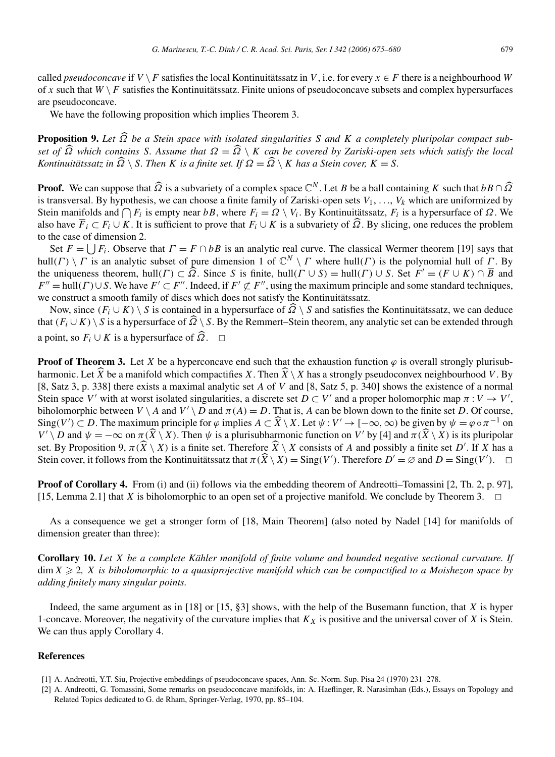called *pseudoconcave* if  $V \setminus F$  satisfies the local Kontinuitätssatz in V, i.e. for every  $x \in F$  there is a neighbourhood W of x such that  $W \setminus F$  satisfies the Kontinuitätssatz. Finite unions of pseudoconcave subsets and complex hypersurfaces are pseudoconcave.

We have the following proposition which implies Theorem 3.

**Proposition 9.** *Let Ω be a Stein space with isolated singularities S and K a completely pluripolar compact subset of*  $\widehat{\Omega}$  *which contains S. Assume that*  $\Omega = \widehat{\Omega} \setminus K$  *can be covered by Zariski-open sets which satisfy the local Kontinuitätssatz in*  $\widehat{\Omega} \setminus S$ *. Then K is a finite set. If*  $\Omega = \widehat{\Omega} \setminus K$  *has a Stein cover,*  $K = S$ *.* 

**Proof.** We can suppose that  $\widehat{\Omega}$  is a subvariety of a complex space  $\mathbb{C}^N$ . Let *B* be a ball containing *K* such that  $bB \cap \widehat{\Omega}$ is transversal. By hypothesis, we can choose a finite family of Zariski-open sets  $V_1, \ldots, V_k$  which are uniformized by Stein manifolds and  $\bigcap F_i$  is empty near *bB*, where  $F_i = Ω \setminus V_i$ . By Kontinuitätssatz,  $F_i$  is a hypersurface of  $Ω$ . We also have  $\overline{F}_i \subset F_i \cup K$ . It is sufficient to prove that  $F_i \cup K$  is a subvariety of  $\Omega$ . By slicing, one reduces the problem to the case of dimension 2.

Set  $F = |F_i|$ . Observe that  $\Gamma = F \cap bB$  is an analytic real curve. The classical Wermer theorem [19] says that hull*(Γ)*  $\setminus$  *Γ* is an analytic subset of pure dimension 1 of  $\mathbb{C}^N \setminus \Gamma$  where hull(*Γ)* is the polynomial hull of *Γ*. By the uniqueness theorem, hull $(\Gamma) \subset \widehat{\Omega}$ . Since *S* is finite, hull $(\Gamma \cup S) = \text{hull}(\Gamma) \cup S$ . Set  $F' = (F \cup K) \cap \overline{B}$  and  $F'' = \text{hull}(F) \cup S$ . We have  $F' \subset F''$ . Indeed, if  $F' \not\subset F''$ , using the maximum principle and some standard techniques, we construct a smooth family of discs which does not satisfy the Kontinuitätssatz.

Now, since  $(F_i \cup K) \setminus S$  is contained in a hypersurface of  $\widehat{\Omega} \setminus S$  and satisfies the Kontinuitätssatz, we can deduce that  $(F_i \cup K) \setminus S$  is a hypersurface of  $\widehat{Q} \setminus S$ . By the Remmert–Stein theorem, any analytic set can be extended through a point, so  $F_i$  ∪  $K$  is a hypersurface of  $\widehat{Q}$ .  $\Box$ 

**Proof of Theorem 3.** Let *X* be a hyperconcave end such that the exhaustion function  $\varphi$  is overall strongly plurisubharmonic. Let  $\widehat{X}$  be a manifold which compactifies *X*. Then  $\widehat{X}\setminus X$  has a strongly pseudoconvex neighbourhood *V*. By [8, Satz 3, p. 338] there exists a maximal analytic set *A* of *V* and [8, Satz 5, p. 340] shows the existence of a normal Stein space *V'* with at worst isolated singularities, a discrete set  $D \subset V'$  and a proper holomorphic map  $\pi : V \to V'$ , biholomorphic between  $V \setminus A$  and  $V' \setminus D$  and  $\pi(A) = D$ . That is, *A* can be blown down to the finite set *D*. Of course, Sing $(V') \subset D$ . The maximum principle for  $\varphi$  implies  $A \subset \widehat{X} \setminus X$ . Let  $\psi : V' \to [-\infty, \infty)$  be given by  $\psi = \varphi \circ \pi^{-1}$  on *V'*  $\setminus$  *D* and  $\psi = -\infty$  on  $\pi(\widehat{X}\setminus X)$ . Then  $\psi$  is a plurisubharmonic function on *V'* by [4] and  $\pi(\widehat{X}\setminus X)$  is its pluripolar set. By Proposition 9,  $\pi(\widehat{X} \setminus X)$  is a finite set. Therefore  $\widehat{X} \setminus X$  consists of *A* and possibly a finite set *D'*. If *X* has a Stein cover, it follows from the Kontinuitätssatz that  $\pi(\hat{X}\setminus X) = \text{Sing}(V')$ . Therefore  $D' = \emptyset$  and  $D = \text{Sing}(V')$ .  $\Box$ 

**Proof of Corollary 4.** From (i) and (ii) follows via the embedding theorem of Andreotti–Tomassini [2, Th. 2, p. 97], [15, Lemma 2.1] that *X* is biholomorphic to an open set of a projective manifold. We conclude by Theorem 3.  $\Box$ 

As a consequence we get a stronger form of [18, Main Theorem] (also noted by Nadel [14] for manifolds of dimension greater than three):

**Corollary 10.** *Let X be a complete Kähler manifold of finite volume and bounded negative sectional curvature. If*  $\dim X \geqslant 2$ ,  $X$  is biholomorphic to a quasiprojective manifold which can be compactified to a Moishezon space by *adding finitely many singular points.*

Indeed, the same argument as in [18] or [15, §3] shows, with the help of the Busemann function, that *X* is hyper 1-concave. Moreover, the negativity of the curvature implies that  $K_X$  is positive and the universal cover of  $X$  is Stein. We can thus apply Corollary 4.

## **References**

<sup>[1]</sup> A. Andreotti, Y.T. Siu, Projective embeddings of pseudoconcave spaces, Ann. Sc. Norm. Sup. Pisa 24 (1970) 231–278.

<sup>[2]</sup> A. Andreotti, G. Tomassini, Some remarks on pseudoconcave manifolds, in: A. Haeflinger, R. Narasimhan (Eds.), Essays on Topology and Related Topics dedicated to G. de Rham, Springer-Verlag, 1970, pp. 85–104.